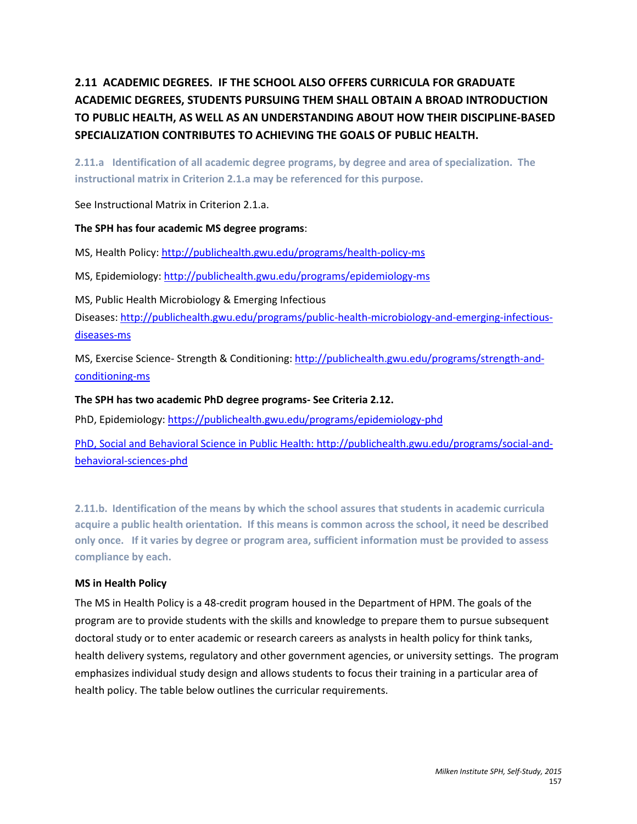# **2.11 ACADEMIC DEGREES. IF THE SCHOOL ALSO OFFERS CURRICULA FOR GRADUATE ACADEMIC DEGREES, STUDENTS PURSUING THEM SHALL OBTAIN A BROAD INTRODUCTION TO PUBLIC HEALTH, AS WELL AS AN UNDERSTANDING ABOUT HOW THEIR DISCIPLINE-BASED SPECIALIZATION CONTRIBUTES TO ACHIEVING THE GOALS OF PUBLIC HEALTH.**

**2.11.a Identification of all academic degree programs, by degree and area of specialization. The instructional matrix in Criterion 2.1.a may be referenced for this purpose.**

See Instructional Matrix in Criterion 2.1.a.

# **The SPH has four academic MS degree programs**:

MS, Health Policy:<http://publichealth.gwu.edu/programs/health-policy-ms>

MS, Epidemiology[: http://publichealth.gwu.edu/programs/epidemiology-ms](http://publichealth.gwu.edu/programs/epidemiology-ms)

MS, Public Health Microbiology & Emerging Infectious Diseases: [http://publichealth.gwu.edu/programs/public-health-microbiology-and-emerging-infectious](http://publichealth.gwu.edu/programs/public-health-microbiology-and-emerging-infectious-diseases-ms)[diseases-ms](http://publichealth.gwu.edu/programs/public-health-microbiology-and-emerging-infectious-diseases-ms)

MS, Exercise Science- Strength & Conditioning: [http://publichealth.gwu.edu/programs/strength-and](http://publichealth.gwu.edu/programs/strength-and-conditioning-ms)[conditioning-ms](http://publichealth.gwu.edu/programs/strength-and-conditioning-ms)

# **The SPH has two academic PhD degree programs- See Criteria 2.12.**

PhD, Epidemiology:<https://publichealth.gwu.edu/programs/epidemiology-phd>

PhD, Social and Behavioral Science in Public Health: [http://publichealth.gwu.edu/programs/social-and](http://publichealth.gwu.edu/programs/social-and-behavioral-sciences-phd)[behavioral-sciences-phd](http://publichealth.gwu.edu/programs/social-and-behavioral-sciences-phd)

**2.11.b. Identification of the means by which the school assures that students in academic curricula acquire a public health orientation. If this means is common across the school, it need be described only once. If it varies by degree or program area, sufficient information must be provided to assess compliance by each.** 

# **MS in Health Policy**

The MS in Health Policy is a 48-credit program housed in the Department of HPM. The goals of the program are to provide students with the skills and knowledge to prepare them to pursue subsequent doctoral study or to enter academic or research careers as analysts in health policy for think tanks, health delivery systems, regulatory and other government agencies, or university settings. The program emphasizes individual study design and allows students to focus their training in a particular area of health policy. The table below outlines the curricular requirements.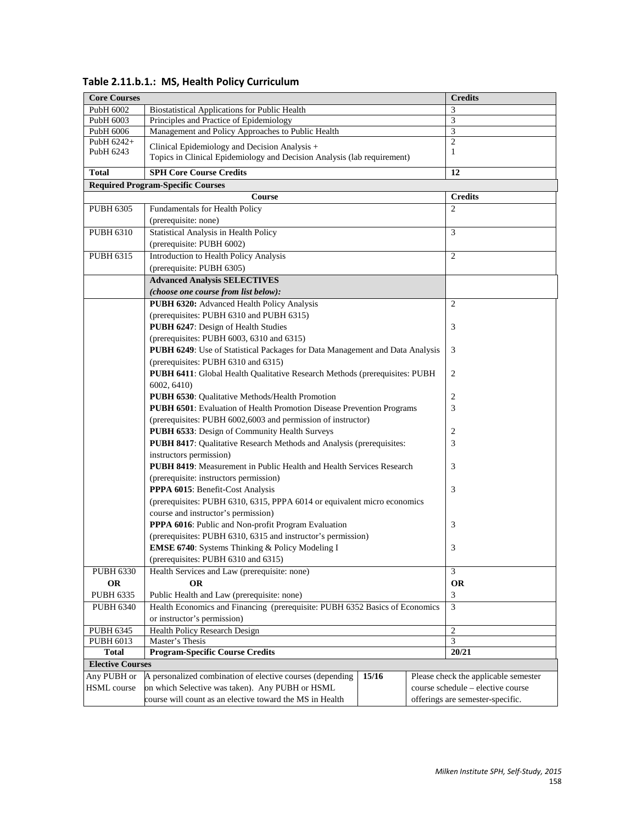| <b>Core Courses</b>                                                                                                                                  |                                                                                                                                                     |  | <b>Credits</b>                    |  |  |
|------------------------------------------------------------------------------------------------------------------------------------------------------|-----------------------------------------------------------------------------------------------------------------------------------------------------|--|-----------------------------------|--|--|
| PubH 6002                                                                                                                                            | <b>Biostatistical Applications for Public Health</b>                                                                                                |  | 3                                 |  |  |
| PubH 6003                                                                                                                                            | Principles and Practice of Epidemiology                                                                                                             |  | 3                                 |  |  |
| PubH 6006                                                                                                                                            | Management and Policy Approaches to Public Health                                                                                                   |  | 3                                 |  |  |
| PubH 6242+<br>PubH 6243                                                                                                                              | Clinical Epidemiology and Decision Analysis +<br>Topics in Clinical Epidemiology and Decision Analysis (lab requirement)                            |  | $\overline{2}$<br>1               |  |  |
| <b>Total</b>                                                                                                                                         | <b>SPH Core Course Credits</b>                                                                                                                      |  | 12                                |  |  |
| <b>Required Program-Specific Courses</b>                                                                                                             |                                                                                                                                                     |  |                                   |  |  |
|                                                                                                                                                      | Course                                                                                                                                              |  | <b>Credits</b>                    |  |  |
| <b>PUBH 6305</b>                                                                                                                                     | Fundamentals for Health Policy                                                                                                                      |  | $\overline{2}$                    |  |  |
|                                                                                                                                                      | (prerequisite: none)                                                                                                                                |  |                                   |  |  |
| <b>PUBH 6310</b>                                                                                                                                     | Statistical Analysis in Health Policy                                                                                                               |  | 3                                 |  |  |
|                                                                                                                                                      | (prerequisite: PUBH 6002)                                                                                                                           |  |                                   |  |  |
| <b>PUBH 6315</b>                                                                                                                                     | Introduction to Health Policy Analysis                                                                                                              |  | 2                                 |  |  |
|                                                                                                                                                      | (prerequisite: PUBH 6305)                                                                                                                           |  |                                   |  |  |
|                                                                                                                                                      | <b>Advanced Analysis SELECTIVES</b>                                                                                                                 |  |                                   |  |  |
|                                                                                                                                                      | (choose one course from list below):                                                                                                                |  |                                   |  |  |
|                                                                                                                                                      | PUBH 6320: Advanced Health Policy Analysis                                                                                                          |  | $\overline{2}$                    |  |  |
|                                                                                                                                                      | (prerequisites: PUBH 6310 and PUBH 6315)                                                                                                            |  |                                   |  |  |
|                                                                                                                                                      | PUBH 6247: Design of Health Studies                                                                                                                 |  | 3                                 |  |  |
|                                                                                                                                                      | (prerequisites: PUBH 6003, 6310 and 6315)                                                                                                           |  |                                   |  |  |
|                                                                                                                                                      | PUBH 6249: Use of Statistical Packages for Data Management and Data Analysis                                                                        |  | 3                                 |  |  |
|                                                                                                                                                      | (prerequisites: PUBH 6310 and 6315)                                                                                                                 |  |                                   |  |  |
|                                                                                                                                                      | PUBH 6411: Global Health Qualitative Research Methods (prerequisites: PUBH                                                                          |  | $\overline{2}$                    |  |  |
|                                                                                                                                                      | 6002, 6410)                                                                                                                                         |  |                                   |  |  |
|                                                                                                                                                      | PUBH 6530: Qualitative Methods/Health Promotion<br>PUBH 6501: Evaluation of Health Promotion Disease Prevention Programs                            |  | $\overline{c}$<br>3               |  |  |
|                                                                                                                                                      | (prerequisites: PUBH 6002,6003 and permission of instructor)                                                                                        |  |                                   |  |  |
|                                                                                                                                                      | PUBH 6533: Design of Community Health Surveys                                                                                                       |  | 2                                 |  |  |
|                                                                                                                                                      | <b>PUBH 8417:</b> Qualitative Research Methods and Analysis (prerequisites:                                                                         |  | 3                                 |  |  |
|                                                                                                                                                      | instructors permission)                                                                                                                             |  |                                   |  |  |
|                                                                                                                                                      | PUBH 8419: Measurement in Public Health and Health Services Research                                                                                |  | 3                                 |  |  |
|                                                                                                                                                      | (prerequisite: instructors permission)                                                                                                              |  |                                   |  |  |
|                                                                                                                                                      | PPPA 6015: Benefit-Cost Analysis<br>(prerequisites: PUBH 6310, 6315, PPPA 6014 or equivalent micro economics<br>course and instructor's permission) |  | 3                                 |  |  |
|                                                                                                                                                      |                                                                                                                                                     |  |                                   |  |  |
|                                                                                                                                                      |                                                                                                                                                     |  |                                   |  |  |
| PPPA 6016: Public and Non-profit Program Evaluation                                                                                                  |                                                                                                                                                     |  | 3                                 |  |  |
|                                                                                                                                                      | (prerequisites: PUBH 6310, 6315 and instructor's permission)                                                                                        |  |                                   |  |  |
|                                                                                                                                                      | EMSE 6740: Systems Thinking & Policy Modeling I                                                                                                     |  | 3                                 |  |  |
|                                                                                                                                                      | (prerequisites: PUBH 6310 and 6315)                                                                                                                 |  |                                   |  |  |
| <b>PUBH 6330</b>                                                                                                                                     | Health Services and Law (prerequisite: none)<br><b>OR</b>                                                                                           |  | 3                                 |  |  |
| OR                                                                                                                                                   |                                                                                                                                                     |  | <b>OR</b>                         |  |  |
| <b>PUBH 6335</b>                                                                                                                                     | Public Health and Law (prerequisite: none)                                                                                                          |  | 3                                 |  |  |
|                                                                                                                                                      | <b>PUBH 6340</b><br>Health Economics and Financing (prerequisite: PUBH 6352 Basics of Economics                                                     |  | 3                                 |  |  |
|                                                                                                                                                      | or instructor's permission)                                                                                                                         |  |                                   |  |  |
| <b>PUBH 6345</b>                                                                                                                                     | Health Policy Research Design                                                                                                                       |  | $\overline{c}$                    |  |  |
| PUBH 6013                                                                                                                                            | Master's Thesis                                                                                                                                     |  | $\mathfrak{Z}$                    |  |  |
| <b>Total</b>                                                                                                                                         | <b>Program-Specific Course Credits</b>                                                                                                              |  | 20/21                             |  |  |
| <b>Elective Courses</b><br>Any PUBH or<br>A personalized combination of elective courses (depending<br>Please check the applicable semester<br>15/16 |                                                                                                                                                     |  |                                   |  |  |
| <b>HSML</b> course                                                                                                                                   | on which Selective was taken). Any PUBH or HSML                                                                                                     |  | course schedule - elective course |  |  |
|                                                                                                                                                      | course will count as an elective toward the MS in Health                                                                                            |  | offerings are semester-specific.  |  |  |
|                                                                                                                                                      |                                                                                                                                                     |  |                                   |  |  |

 **Table 2.11.b.1.: MS, Health Policy Curriculum**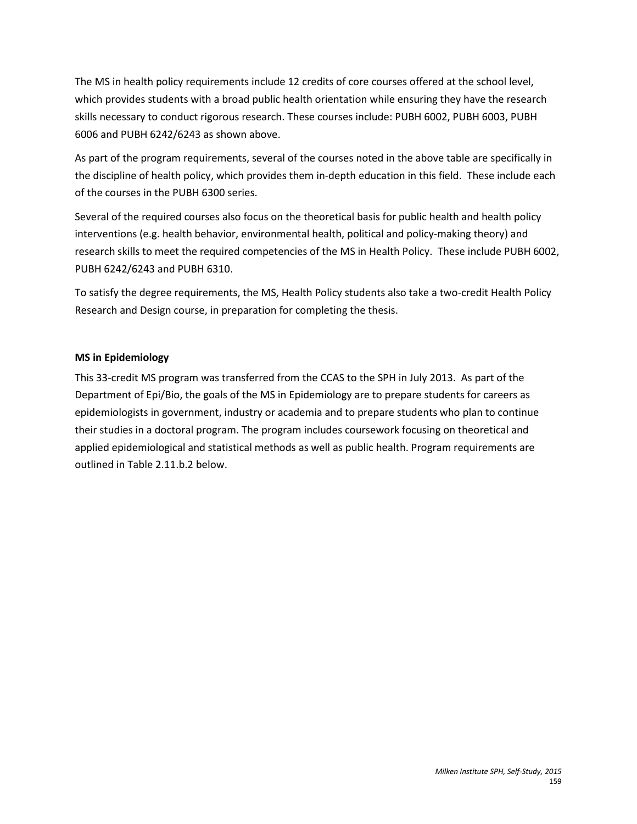The MS in health policy requirements include 12 credits of core courses offered at the school level, which provides students with a broad public health orientation while ensuring they have the research skills necessary to conduct rigorous research. These courses include: PUBH 6002, PUBH 6003, PUBH 6006 and PUBH 6242/6243 as shown above.

As part of the program requirements, several of the courses noted in the above table are specifically in the discipline of health policy, which provides them in-depth education in this field. These include each of the courses in the PUBH 6300 series.

Several of the required courses also focus on the theoretical basis for public health and health policy interventions (e.g. health behavior, environmental health, political and policy-making theory) and research skills to meet the required competencies of the MS in Health Policy. These include PUBH 6002, PUBH 6242/6243 and PUBH 6310.

To satisfy the degree requirements, the MS, Health Policy students also take a two-credit Health Policy Research and Design course, in preparation for completing the thesis.

# **MS in Epidemiology**

This 33-credit MS program was transferred from the CCAS to the SPH in July 2013. As part of the Department of Epi/Bio, the goals of the MS in Epidemiology are to prepare students for careers as epidemiologists in government, industry or academia and to prepare students who plan to continue their studies in a doctoral program. The program includes coursework focusing on theoretical and applied epidemiological and statistical methods as well as public health. Program requirements are outlined in Table 2.11.b.2 below.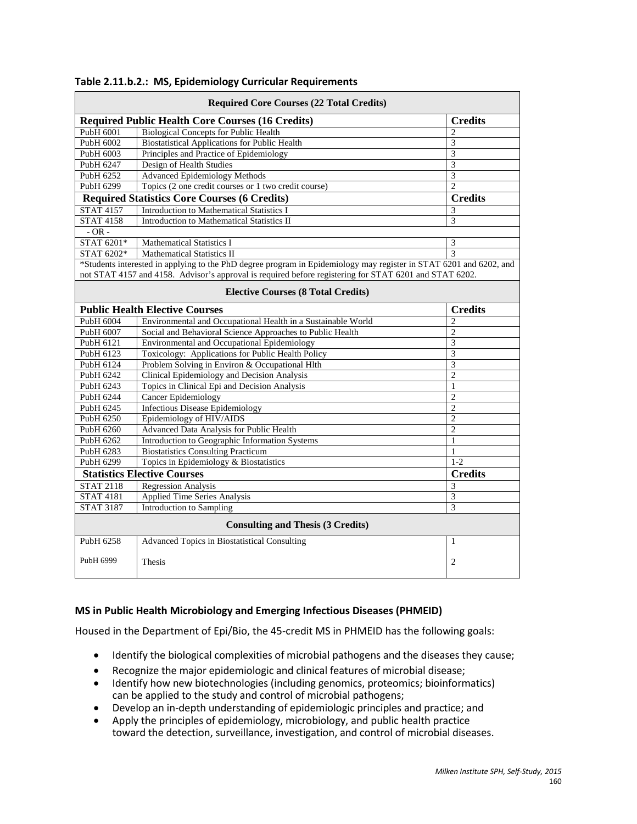| <b>Required Core Courses (22 Total Credits)</b> |                                                                                                                    |                |  |  |
|-------------------------------------------------|--------------------------------------------------------------------------------------------------------------------|----------------|--|--|
|                                                 | <b>Required Public Health Core Courses (16 Credits)</b>                                                            | <b>Credits</b> |  |  |
| PubH 6001                                       | <b>Biological Concepts for Public Health</b>                                                                       | $\overline{c}$ |  |  |
| PubH 6002                                       | <b>Biostatistical Applications for Public Health</b>                                                               | 3              |  |  |
| PubH 6003                                       | Principles and Practice of Epidemiology                                                                            | $\overline{3}$ |  |  |
| PubH 6247                                       | Design of Health Studies                                                                                           | $\overline{3}$ |  |  |
| PubH 6252                                       | <b>Advanced Epidemiology Methods</b>                                                                               | 3              |  |  |
| PubH 6299                                       | Topics (2 one credit courses or 1 two credit course)                                                               | $\overline{2}$ |  |  |
|                                                 | <b>Required Statistics Core Courses (6 Credits)</b>                                                                | <b>Credits</b> |  |  |
| <b>STAT 4157</b>                                | <b>Introduction to Mathematical Statistics I</b>                                                                   | 3              |  |  |
| <b>STAT 4158</b>                                | Introduction to Mathematical Statistics II                                                                         | $\overline{3}$ |  |  |
| $-OR -$                                         |                                                                                                                    |                |  |  |
| STAT 6201*                                      | <b>Mathematical Statistics I</b>                                                                                   | 3              |  |  |
| STAT 6202*                                      | Mathematical Statistics II                                                                                         | $\overline{3}$ |  |  |
|                                                 | *Students interested in applying to the PhD degree program in Epidemiology may register in STAT 6201 and 6202, and |                |  |  |
|                                                 | not STAT 4157 and 4158. Advisor's approval is required before registering for STAT 6201 and STAT 6202.             |                |  |  |
|                                                 | <b>Elective Courses (8 Total Credits)</b>                                                                          |                |  |  |
|                                                 | <b>Public Health Elective Courses</b>                                                                              | <b>Credits</b> |  |  |
| PubH 6004                                       | Environmental and Occupational Health in a Sustainable World                                                       | $\overline{2}$ |  |  |
| PubH 6007                                       | Social and Behavioral Science Approaches to Public Health                                                          | $\overline{2}$ |  |  |
| PubH 6121                                       | Environmental and Occupational Epidemiology                                                                        | $\overline{3}$ |  |  |
| PubH 6123                                       | Toxicology: Applications for Public Health Policy                                                                  | $\overline{3}$ |  |  |
| PubH 6124                                       | Problem Solving in Environ & Occupational Hlth                                                                     | $\overline{3}$ |  |  |
| PubH 6242                                       | Clinical Epidemiology and Decision Analysis                                                                        | $\overline{2}$ |  |  |
| PubH 6243                                       | Topics in Clinical Epi and Decision Analysis                                                                       | $\mathbf{1}$   |  |  |
| PubH 6244                                       | Cancer Epidemiology                                                                                                | $\overline{c}$ |  |  |
| PubH 6245                                       | <b>Infectious Disease Epidemiology</b>                                                                             | $\overline{2}$ |  |  |
| PubH 6250                                       | Epidemiology of HIV/AIDS                                                                                           | $\overline{2}$ |  |  |
| PubH 6260                                       | Advanced Data Analysis for Public Health                                                                           | $\overline{2}$ |  |  |
| PubH 6262                                       | Introduction to Geographic Information Systems                                                                     | $\mathbf{1}$   |  |  |
| PubH 6283                                       | <b>Biostatistics Consulting Practicum</b>                                                                          | $\mathbf{1}$   |  |  |
| PubH 6299                                       | Topics in Epidemiology & Biostatistics                                                                             | $1 - 2$        |  |  |
|                                                 | <b>Statistics Elective Courses</b>                                                                                 | <b>Credits</b> |  |  |
| <b>STAT 2118</b>                                | <b>Regression Analysis</b>                                                                                         | $\overline{3}$ |  |  |
| $\overline{\text{STAT}4181}$                    | <b>Applied Time Series Analysis</b>                                                                                | $\overline{3}$ |  |  |
| <b>STAT 3187</b>                                | Introduction to Sampling                                                                                           | 3              |  |  |
| <b>Consulting and Thesis (3 Credits)</b>        |                                                                                                                    |                |  |  |
| PubH 6258                                       | <b>Advanced Topics in Biostatistical Consulting</b>                                                                | 1              |  |  |
| PubH 6999                                       | Thesis                                                                                                             | $\overline{2}$ |  |  |

#### **Table 2.11.b.2.: MS, Epidemiology Curricular Requirements**

#### **MS in Public Health Microbiology and Emerging Infectious Diseases (PHMEID)**

Housed in the Department of Epi/Bio, the 45-credit MS in PHMEID has the following goals:

- Identify the biological complexities of microbial pathogens and the diseases they cause;
- Recognize the major epidemiologic and clinical features of microbial disease;
- Identify how new biotechnologies (including genomics, proteomics; bioinformatics) can be applied to the study and control of microbial pathogens;
- Develop an in-depth understanding of epidemiologic principles and practice; and
- Apply the principles of epidemiology, microbiology, and public health practice toward the detection, surveillance, investigation, and control of microbial diseases.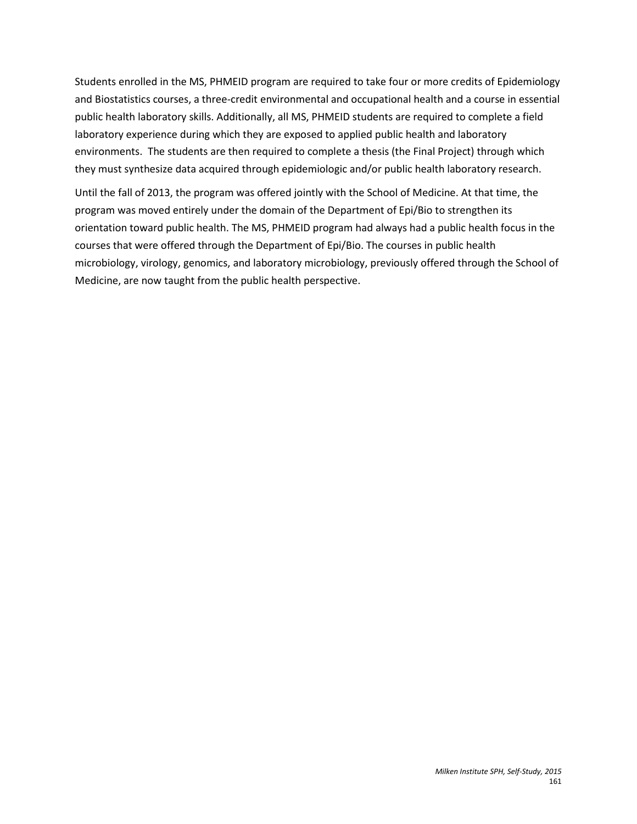Students enrolled in the MS, PHMEID program are required to take four or more credits of Epidemiology and Biostatistics courses, a three-credit environmental and occupational health and a course in essential public health laboratory skills. Additionally, all MS, PHMEID students are required to complete a field laboratory experience during which they are exposed to applied public health and laboratory environments. The students are then required to complete a thesis (the Final Project) through which they must synthesize data acquired through epidemiologic and/or public health laboratory research.

Until the fall of 2013, the program was offered jointly with the School of Medicine. At that time, the program was moved entirely under the domain of the Department of Epi/Bio to strengthen its orientation toward public health. The MS, PHMEID program had always had a public health focus in the courses that were offered through the Department of Epi/Bio. The courses in public health microbiology, virology, genomics, and laboratory microbiology, previously offered through the School of Medicine, are now taught from the public health perspective.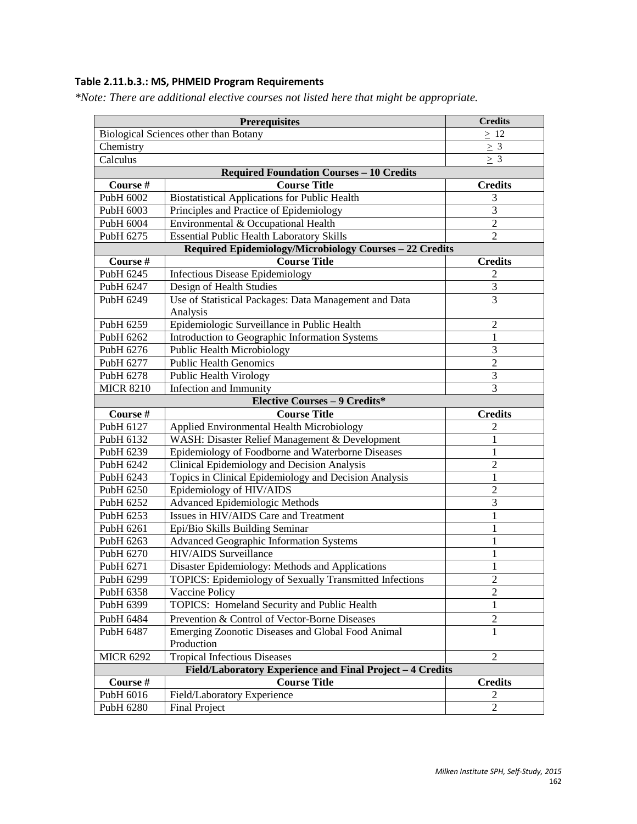# **Table 2.11.b.3.: MS, PHMEID Program Requirements**

*\*Note: There are additional elective courses not listed here that might be appropriate.* 

|                                                           | <b>Credits</b>                                                    |                |  |  |  |  |
|-----------------------------------------------------------|-------------------------------------------------------------------|----------------|--|--|--|--|
| Biological Sciences other than Botany                     | $\geq 12$                                                         |                |  |  |  |  |
| Chemistry                                                 | $\geq 3$                                                          |                |  |  |  |  |
| Calculus                                                  | $\geq 3$                                                          |                |  |  |  |  |
|                                                           | <b>Required Foundation Courses - 10 Credits</b>                   |                |  |  |  |  |
| Course #                                                  | <b>Course Title</b>                                               | <b>Credits</b> |  |  |  |  |
| PubH 6002                                                 | <b>Biostatistical Applications for Public Health</b>              | 3              |  |  |  |  |
| PubH 6003                                                 | Principles and Practice of Epidemiology                           | $\overline{3}$ |  |  |  |  |
| PubH 6004                                                 | Environmental & Occupational Health                               | $\overline{c}$ |  |  |  |  |
| PubH 6275                                                 | <b>Essential Public Health Laboratory Skills</b>                  | $\overline{2}$ |  |  |  |  |
|                                                           | Required Epidemiology/Microbiology Courses - 22 Credits           |                |  |  |  |  |
| Course #                                                  | <b>Course Title</b>                                               | <b>Credits</b> |  |  |  |  |
| PubH 6245                                                 | <b>Infectious Disease Epidemiology</b>                            | 2              |  |  |  |  |
| PubH 6247                                                 | Design of Health Studies                                          | 3              |  |  |  |  |
| PubH 6249                                                 | Use of Statistical Packages: Data Management and Data<br>Analysis | $\overline{3}$ |  |  |  |  |
| PubH 6259                                                 | Epidemiologic Surveillance in Public Health                       | $\overline{c}$ |  |  |  |  |
| PubH 6262                                                 | Introduction to Geographic Information Systems                    | 1              |  |  |  |  |
| PubH 6276                                                 | Public Health Microbiology                                        | $\mathfrak{Z}$ |  |  |  |  |
| PubH 6277                                                 | <b>Public Health Genomics</b>                                     | $\overline{2}$ |  |  |  |  |
| PubH 6278                                                 | Public Health Virology                                            | $\overline{3}$ |  |  |  |  |
| <b>MICR 8210</b>                                          | Infection and Immunity                                            | 3              |  |  |  |  |
|                                                           | <b>Elective Courses - 9 Credits*</b>                              |                |  |  |  |  |
| Course #                                                  | <b>Course Title</b>                                               | <b>Credits</b> |  |  |  |  |
| PubH 6127                                                 | Applied Environmental Health Microbiology                         | 2              |  |  |  |  |
| PubH 6132                                                 | WASH: Disaster Relief Management & Development                    | 1              |  |  |  |  |
| PubH 6239                                                 | Epidemiology of Foodborne and Waterborne Diseases                 | 1              |  |  |  |  |
| PubH 6242                                                 | Clinical Epidemiology and Decision Analysis                       | $\overline{c}$ |  |  |  |  |
| PubH 6243                                                 | Topics in Clinical Epidemiology and Decision Analysis             | $\mathbf{1}$   |  |  |  |  |
| PubH 6250                                                 | Epidemiology of HIV/AIDS                                          | $\overline{c}$ |  |  |  |  |
| PubH 6252                                                 | <b>Advanced Epidemiologic Methods</b>                             | 3              |  |  |  |  |
| PubH 6253                                                 | Issues in HIV/AIDS Care and Treatment                             | 1              |  |  |  |  |
| PubH 6261                                                 | Epi/Bio Skills Building Seminar                                   | $\mathbf{1}$   |  |  |  |  |
| PubH 6263                                                 | <b>Advanced Geographic Information Systems</b>                    | $\mathbf{1}$   |  |  |  |  |
| PubH 6270                                                 | <b>HIV/AIDS</b> Surveillance                                      | $\mathbf{1}$   |  |  |  |  |
| PubH 6271                                                 | Disaster Epidemiology: Methods and Applications                   | $\mathbf{1}$   |  |  |  |  |
| PubH 6299                                                 | <b>TOPICS:</b> Epidemiology of Sexually Transmitted Infections    | $\overline{c}$ |  |  |  |  |
| PubH 6358                                                 | Vaccine Policy                                                    | 2              |  |  |  |  |
| PubH 6399                                                 | TOPICS: Homeland Security and Public Health                       | 1              |  |  |  |  |
| PubH 6484                                                 | Prevention & Control of Vector-Borne Diseases                     | $\overline{c}$ |  |  |  |  |
| PubH 6487                                                 | Emerging Zoonotic Diseases and Global Food Animal<br>Production   | 1              |  |  |  |  |
| <b>MICR 6292</b>                                          | <b>Tropical Infectious Diseases</b>                               | $\mathfrak{2}$ |  |  |  |  |
| Field/Laboratory Experience and Final Project - 4 Credits |                                                                   |                |  |  |  |  |
| Course #                                                  | <b>Course Title</b>                                               | <b>Credits</b> |  |  |  |  |
| PubH 6016                                                 | Field/Laboratory Experience                                       | 2              |  |  |  |  |
| PubH 6280                                                 | <b>Final Project</b>                                              | $\overline{c}$ |  |  |  |  |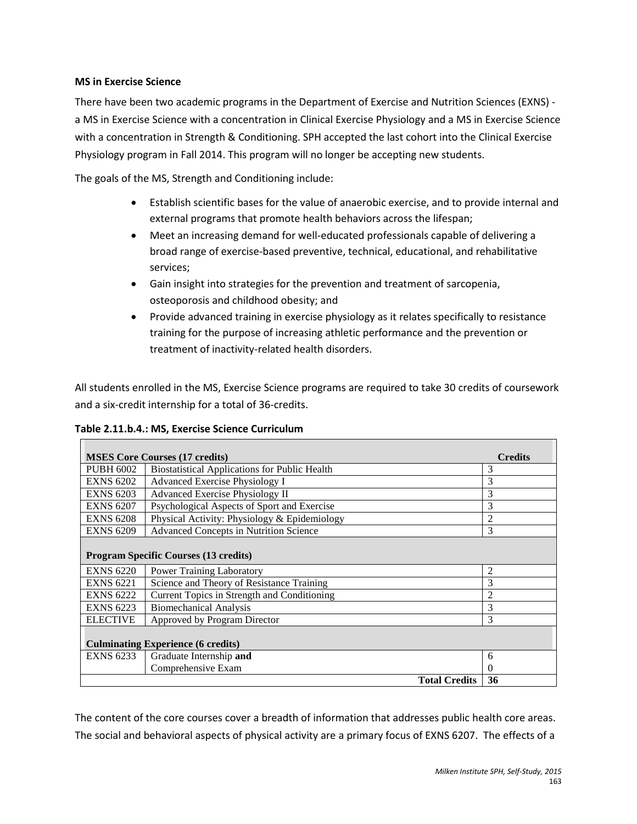#### **MS in Exercise Science**

There have been two academic programs in the Department of Exercise and Nutrition Sciences (EXNS) a MS in Exercise Science with a concentration in Clinical Exercise Physiology and a MS in Exercise Science with a concentration in Strength & Conditioning. SPH accepted the last cohort into the Clinical Exercise Physiology program in Fall 2014. This program will no longer be accepting new students.

The goals of the MS, Strength and Conditioning include:

- Establish scientific bases for the value of anaerobic exercise, and to provide internal and external programs that promote health behaviors across the lifespan;
- Meet an increasing demand for well-educated professionals capable of delivering a broad range of exercise-based preventive, technical, educational, and rehabilitative services;
- Gain insight into strategies for the prevention and treatment of sarcopenia, osteoporosis and childhood obesity; and
- Provide advanced training in exercise physiology as it relates specifically to resistance training for the purpose of increasing athletic performance and the prevention or treatment of inactivity-related health disorders.

All students enrolled in the MS, Exercise Science programs are required to take 30 credits of coursework and a six-credit internship for a total of 36-credits.

**Table 2.11.b.4.: MS, Exercise Science Curriculum**

|                                              | <b>MSES Core Courses (17 credits)</b>                | <b>Credits</b> |  |  |  |
|----------------------------------------------|------------------------------------------------------|----------------|--|--|--|
| PUBH 6002                                    | <b>Biostatistical Applications for Public Health</b> | 3              |  |  |  |
| <b>EXNS 6202</b>                             | Advanced Exercise Physiology I                       | 3              |  |  |  |
| <b>EXNS 6203</b>                             | Advanced Exercise Physiology II                      | 3              |  |  |  |
| <b>EXNS 6207</b>                             | Psychological Aspects of Sport and Exercise          | 3              |  |  |  |
| <b>EXNS 6208</b>                             | Physical Activity: Physiology & Epidemiology         | $\overline{c}$ |  |  |  |
| <b>EXNS 6209</b>                             | <b>Advanced Concepts in Nutrition Science</b>        | 3              |  |  |  |
| <b>Program Specific Courses (13 credits)</b> |                                                      |                |  |  |  |
| <b>EXNS 6220</b>                             | <b>Power Training Laboratory</b>                     | $\overline{2}$ |  |  |  |
| <b>EXNS 6221</b>                             | Science and Theory of Resistance Training            | 3              |  |  |  |
| <b>EXNS 6222</b>                             | Current Topics in Strength and Conditioning          | $\overline{c}$ |  |  |  |
| <b>EXNS 6223</b>                             | <b>Biomechanical Analysis</b>                        | 3              |  |  |  |
| <b>ELECTIVE</b>                              | Approved by Program Director                         | 3              |  |  |  |
|                                              | <b>Culminating Experience (6 credits)</b>            |                |  |  |  |
| <b>EXNS 6233</b>                             | Graduate Internship and                              | 6              |  |  |  |
|                                              | Comprehensive Exam                                   | 0              |  |  |  |
|                                              | <b>Total Credits</b>                                 | 36             |  |  |  |

The content of the core courses cover a breadth of information that addresses public health core areas. The social and behavioral aspects of physical activity are a primary focus of EXNS 6207. The effects of a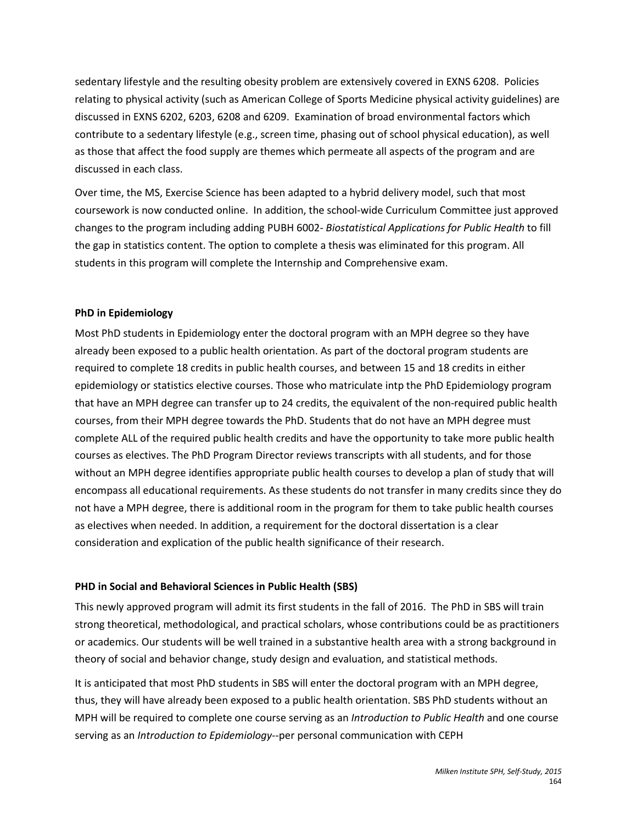sedentary lifestyle and the resulting obesity problem are extensively covered in EXNS 6208. Policies relating to physical activity (such as American College of Sports Medicine physical activity guidelines) are discussed in EXNS 6202, 6203, 6208 and 6209. Examination of broad environmental factors which contribute to a sedentary lifestyle (e.g., screen time, phasing out of school physical education), as well as those that affect the food supply are themes which permeate all aspects of the program and are discussed in each class.

Over time, the MS, Exercise Science has been adapted to a hybrid delivery model, such that most coursework is now conducted online. In addition, the school-wide Curriculum Committee just approved changes to the program including adding PUBH 6002- *Biostatistical Applications for Public Health* to fill the gap in statistics content. The option to complete a thesis was eliminated for this program. All students in this program will complete the Internship and Comprehensive exam.

# **PhD in Epidemiology**

Most PhD students in Epidemiology enter the doctoral program with an MPH degree so they have already been exposed to a public health orientation. As part of the doctoral program students are required to complete 18 credits in public health courses, and between 15 and 18 credits in either epidemiology or statistics elective courses. Those who matriculate intp the PhD Epidemiology program that have an MPH degree can transfer up to 24 credits, the equivalent of the non-required public health courses, from their MPH degree towards the PhD. Students that do not have an MPH degree must complete ALL of the required public health credits and have the opportunity to take more public health courses as electives. The PhD Program Director reviews transcripts with all students, and for those without an MPH degree identifies appropriate public health courses to develop a plan of study that will encompass all educational requirements. As these students do not transfer in many credits since they do not have a MPH degree, there is additional room in the program for them to take public health courses as electives when needed. In addition, a requirement for the doctoral dissertation is a clear consideration and explication of the public health significance of their research.

#### **PHD in Social and Behavioral Sciences in Public Health (SBS)**

This newly approved program will admit its first students in the fall of 2016. The PhD in SBS will train strong theoretical, methodological, and practical scholars, whose contributions could be as practitioners or academics. Our students will be well trained in a substantive health area with a strong background in theory of social and behavior change, study design and evaluation, and statistical methods.

It is anticipated that most PhD students in SBS will enter the doctoral program with an MPH degree, thus, they will have already been exposed to a public health orientation. SBS PhD students without an MPH will be required to complete one course serving as an *Introduction to Public Health* and one course serving as an *Introduction to Epidemiology*--per personal communication with CEPH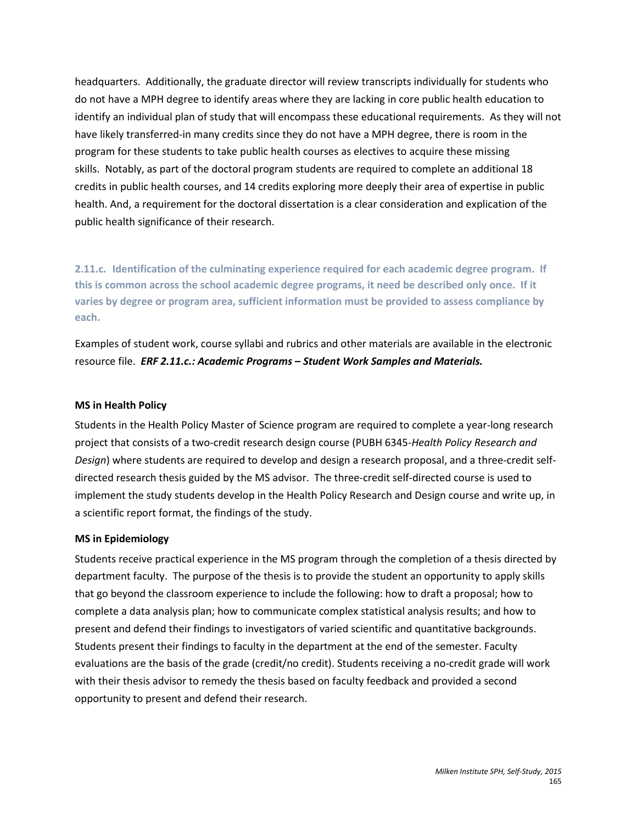headquarters. Additionally, the graduate director will review transcripts individually for students who do not have a MPH degree to identify areas where they are lacking in core public health education to identify an individual plan of study that will encompass these educational requirements. As they will not have likely transferred-in many credits since they do not have a MPH degree, there is room in the program for these students to take public health courses as electives to acquire these missing skills. Notably, as part of the doctoral program students are required to complete an additional 18 credits in public health courses, and 14 credits exploring more deeply their area of expertise in public health. And, a requirement for the doctoral dissertation is a clear consideration and explication of the public health significance of their research.

**2.11.c. Identification of the culminating experience required for each academic degree program. If this is common across the school academic degree programs, it need be described only once. If it varies by degree or program area, sufficient information must be provided to assess compliance by each.** 

Examples of student work, course syllabi and rubrics and other materials are available in the electronic resource file. *ERF 2.11.c.: Academic Programs – Student Work Samples and Materials.*

#### **MS in Health Policy**

Students in the Health Policy Master of Science program are required to complete a year-long research project that consists of a two-credit research design course (PUBH 6345-*Health Policy Research and Design*) where students are required to develop and design a research proposal, and a three-credit selfdirected research thesis guided by the MS advisor. The three-credit self-directed course is used to implement the study students develop in the Health Policy Research and Design course and write up, in a scientific report format, the findings of the study.

#### **MS in Epidemiology**

Students receive practical experience in the MS program through the completion of a thesis directed by department faculty. The purpose of the thesis is to provide the student an opportunity to apply skills that go beyond the classroom experience to include the following: how to draft a proposal; how to complete a data analysis plan; how to communicate complex statistical analysis results; and how to present and defend their findings to investigators of varied scientific and quantitative backgrounds. Students present their findings to faculty in the department at the end of the semester. Faculty evaluations are the basis of the grade (credit/no credit). Students receiving a no-credit grade will work with their thesis advisor to remedy the thesis based on faculty feedback and provided a second opportunity to present and defend their research.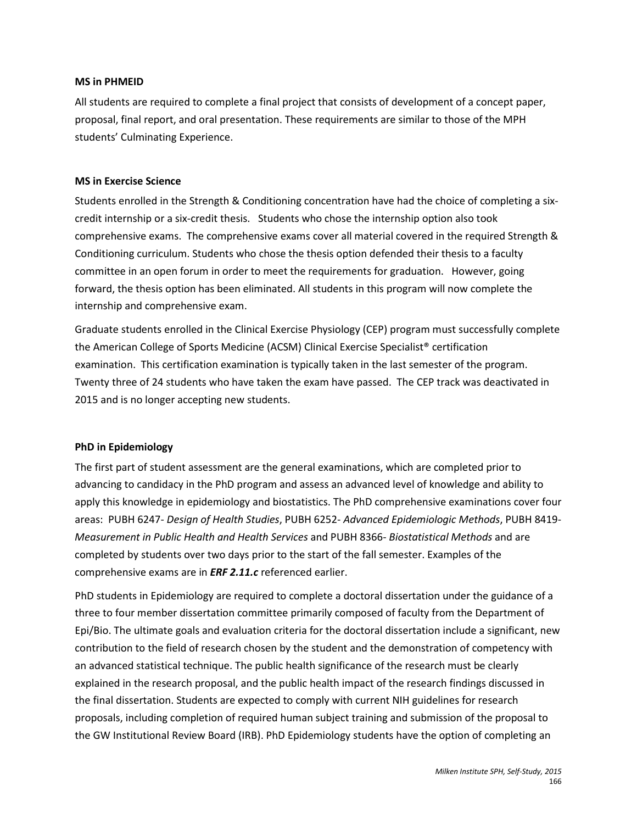#### **MS in PHMEID**

All students are required to complete a final project that consists of development of a concept paper, proposal, final report, and oral presentation. These requirements are similar to those of the MPH students' Culminating Experience.

#### **MS in Exercise Science**

Students enrolled in the Strength & Conditioning concentration have had the choice of completing a sixcredit internship or a six-credit thesis. Students who chose the internship option also took comprehensive exams. The comprehensive exams cover all material covered in the required Strength & Conditioning curriculum. Students who chose the thesis option defended their thesis to a faculty committee in an open forum in order to meet the requirements for graduation. However, going forward, the thesis option has been eliminated. All students in this program will now complete the internship and comprehensive exam.

Graduate students enrolled in the Clinical Exercise Physiology (CEP) program must successfully complete the American College of Sports Medicine (ACSM) Clinical Exercise Specialist® certification examination. This certification examination is typically taken in the last semester of the program. Twenty three of 24 students who have taken the exam have passed. The CEP track was deactivated in 2015 and is no longer accepting new students.

#### **PhD in Epidemiology**

The first part of student assessment are the general examinations, which are completed prior to advancing to candidacy in the PhD program and assess an advanced level of knowledge and ability to apply this knowledge in epidemiology and biostatistics. The PhD comprehensive examinations cover four areas: PUBH 6247- *Design of Health Studies*, PUBH 6252- *Advanced Epidemiologic Methods*, PUBH 8419- *Measurement in Public Health and Health Services* and PUBH 8366- *Biostatistical Methods* and are completed by students over two days prior to the start of the fall semester. Examples of the comprehensive exams are in *ERF 2.11.c* referenced earlier.

PhD students in Epidemiology are required to complete a doctoral dissertation under the guidance of a three to four member dissertation committee primarily composed of faculty from the Department of Epi/Bio. The ultimate goals and evaluation criteria for the doctoral dissertation include a significant, new contribution to the field of research chosen by the student and the demonstration of competency with an advanced statistical technique. The public health significance of the research must be clearly explained in the research proposal, and the public health impact of the research findings discussed in the final dissertation. Students are expected to comply with current NIH guidelines for research proposals, including completion of required human subject training and submission of the proposal to the GW Institutional Review Board (IRB). PhD Epidemiology students have the option of completing an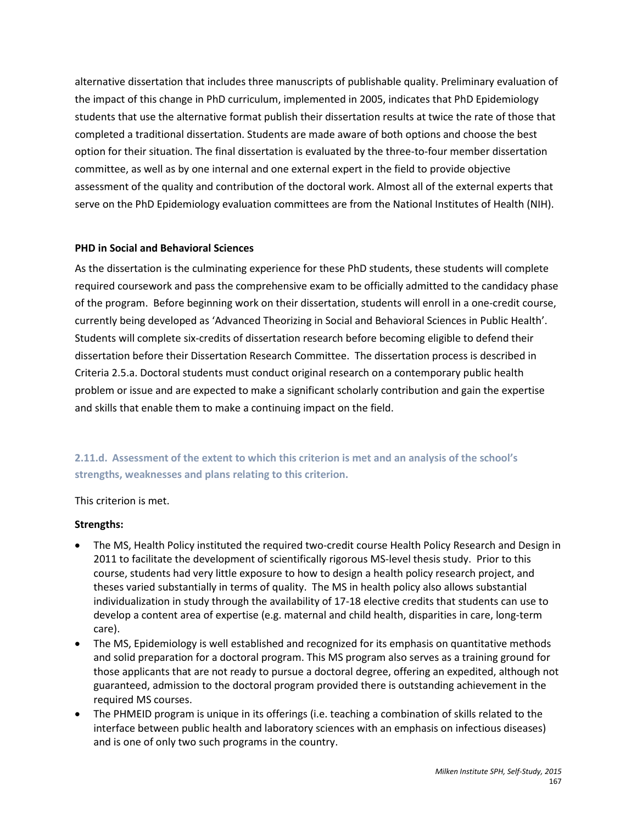alternative dissertation that includes three manuscripts of publishable quality. Preliminary evaluation of the impact of this change in PhD curriculum, implemented in 2005, indicates that PhD Epidemiology students that use the alternative format publish their dissertation results at twice the rate of those that completed a traditional dissertation. Students are made aware of both options and choose the best option for their situation. The final dissertation is evaluated by the three-to-four member dissertation committee, as well as by one internal and one external expert in the field to provide objective assessment of the quality and contribution of the doctoral work. Almost all of the external experts that serve on the PhD Epidemiology evaluation committees are from the National Institutes of Health (NIH).

# **PHD in Social and Behavioral Sciences**

As the dissertation is the culminating experience for these PhD students, these students will complete required coursework and pass the comprehensive exam to be officially admitted to the candidacy phase of the program. Before beginning work on their dissertation, students will enroll in a one-credit course, currently being developed as 'Advanced Theorizing in Social and Behavioral Sciences in Public Health'. Students will complete six-credits of dissertation research before becoming eligible to defend their dissertation before their Dissertation Research Committee. The dissertation process is described in Criteria 2.5.a. Doctoral students must conduct original research on a contemporary public health problem or issue and are expected to make a significant scholarly contribution and gain the expertise and skills that enable them to make a continuing impact on the field.

**2.11.d. Assessment of the extent to which this criterion is met and an analysis of the school's strengths, weaknesses and plans relating to this criterion.**

This criterion is met.

#### **Strengths:**

- The MS, Health Policy instituted the required two-credit course Health Policy Research and Design in 2011 to facilitate the development of scientifically rigorous MS-level thesis study. Prior to this course, students had very little exposure to how to design a health policy research project, and theses varied substantially in terms of quality. The MS in health policy also allows substantial individualization in study through the availability of 17-18 elective credits that students can use to develop a content area of expertise (e.g. maternal and child health, disparities in care, long-term care).
- The MS, Epidemiology is well established and recognized for its emphasis on quantitative methods and solid preparation for a doctoral program. This MS program also serves as a training ground for those applicants that are not ready to pursue a doctoral degree, offering an expedited, although not guaranteed, admission to the doctoral program provided there is outstanding achievement in the required MS courses.
- The PHMEID program is unique in its offerings (i.e. teaching a combination of skills related to the interface between public health and laboratory sciences with an emphasis on infectious diseases) and is one of only two such programs in the country.